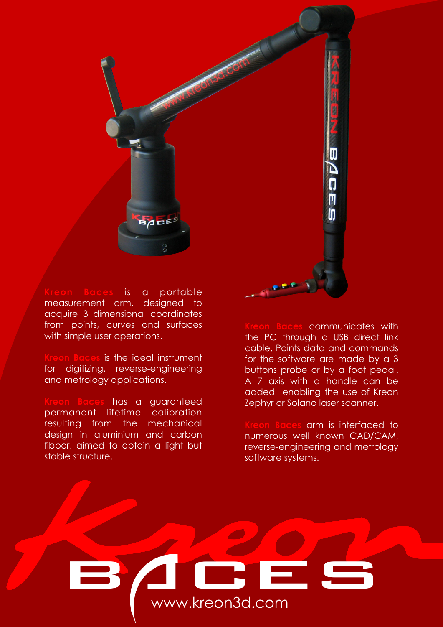

is a portable measurement arm, designed to acquire 3 dimensional coordinates from points, curves and surfaces with simple user operations.

is the ideal instrument for digitizing, reverse-engineering and metrology applications.

has a guaranteed permanent lifetime calibration resulting from the mechanical design in aluminium and carbon fibber, aimed to obtain a light but stable structure.

communicates with the PC through a USB direct link cable. Points data and commands for the software are made by a 3 buttons probe or by a foot pedal. A 7 axis with a handle can be added enabling the use of Kreon Zephyr or Solano laser scanner.

**Kreon Baces** arm is interfaced to numerous well known CAD/CAM, reverse-engineering and metrology software systems.

## back www.kreon3d.com